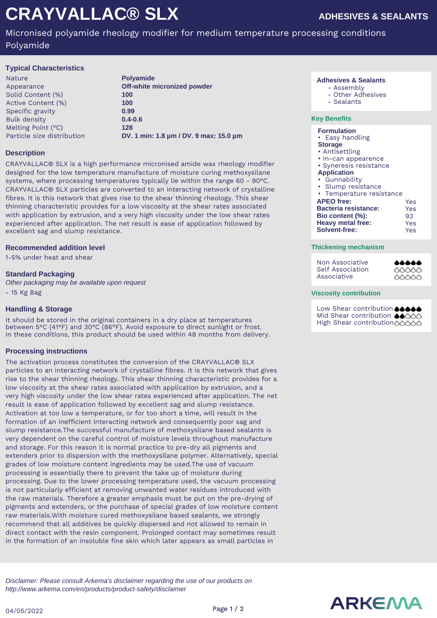# **CRAYVALLAC® SLX**

Micronised polyamide rheology modifier for medium temperature processing conditions Polyamide

## **Typical Characteristics**

Nature **Polyamide** Appearance **Off-white micronized powder**<br>
Solid Content (%) **100** Solid Content (%) Active Content (%) **100** Specific gravity **0.99** Bulk density **0.4-0.6** Melting Point (°C) **128**

Particle size distribution **DV. 1 min: 1.8 µm / DV. 9 max: 15.0 µm**

# **Description**

CRAYVALLAC® SLX is a high performance micronised amide wax rheology modifier designed for the low temperature manufacture of moisture curing methoxysilane systems, where processing temperatures typically lie within the range 60 - 90°C. CRAYVALLAC® SLX particles are converted to an interacting network of crystalline fibres. It is this network that gives rise to the shear thinning rheology. This shear thinning characteristic provides for a low viscosity at the shear rates associated with application by extrusion, and a very high viscosity under the low shear rates experienced after application. The net result is ease of application followed by excellent sag and slump resistance.

## **Recommended addition level**

1-5% under heat and shear

## **Standard Packaging**

Other packaging may be available upon request - 15 Kg Bag

## **Handling & Storage**

It should be stored in the original containers in a dry place at temperatures between 5°C (41°F) and 30°C (86°F). Avoid exposure to direct sunlight or frost. In these conditions, this product should be used within 48 months from delivery.

## **Processing instructions**

The activation process constitutes the conversion of the CRAYVALLAC® SLX particles to an interacting network of crystalline fibres. It is this network that gives rise to the shear thinning rheology. This shear thinning characteristic provides for a low viscosity at the shear rates associated with application by extrusion, and a very high viscosity under the low shear rates experienced after application. The net result is ease of application followed by excellent sag and slump resistance. Activation at too low a temperature, or for too short a time, will result in the formation of an inefficient interacting network and consequently poor sag and slump resistance.The successful manufacture of methoxysilane based sealants is very dependent on the careful control of moisture levels throughout manufacture and storage. For this reason it is normal practice to pre-dry all pigments and extenders prior to dispersion with the methoxysilane polymer. Alternatively, special grades of low moisture content ingredients may be used.The use of vacuum processing is essentially there to prevent the take up of moisture during processing. Due to the lower processing temperature used, the vacuum processing is not particularly efficient at removing unwanted water residues introduced with the raw materials. Therefore a greater emphasis must be put on the pre-drying of pigments and extenders, or the purchase of special grades of low moisture content raw materials.With moisture cured methoxysilane based sealants, we strongly recommend that all additives be quickly dispersed and not allowed to remain in direct contact with the resin component. Prolonged contact may sometimes result in the formation of an insoluble fine skin which later appears as small particles in

#### **Adhesives & Sealants**

- Assembly
- Other Adhesives
- Sealants

## **Key Benefits**

#### **Formulation**

- Easy handling
- **Storage**
- Antisettling
- In-can appearence
- Syneresis resistance
- **Application**
- Gunnability
- Slump resistance
- Temperature resistance

| <b>APEO</b> free:        | Yes |
|--------------------------|-----|
| Bacteria resistance:     | Yes |
| Bio content (%):         | 93  |
| <b>Heavy metal free:</b> | Yes |
| Solvent-free:            | Yes |

#### **Thickening mechanism**

| Non Associative  | <b></b> |
|------------------|---------|
| Self Association | 66666   |
| Associative      | 66666   |

#### **Viscosity contribution**

Low Shear contribution **66666** Mid Shear contribution ●●○○○ High Shear contribution 00000

Disclaimer: Please consult Arkema's disclaimer regarding the use of our products on http://www.arkema.com/en/products/product-safety/disclaimer